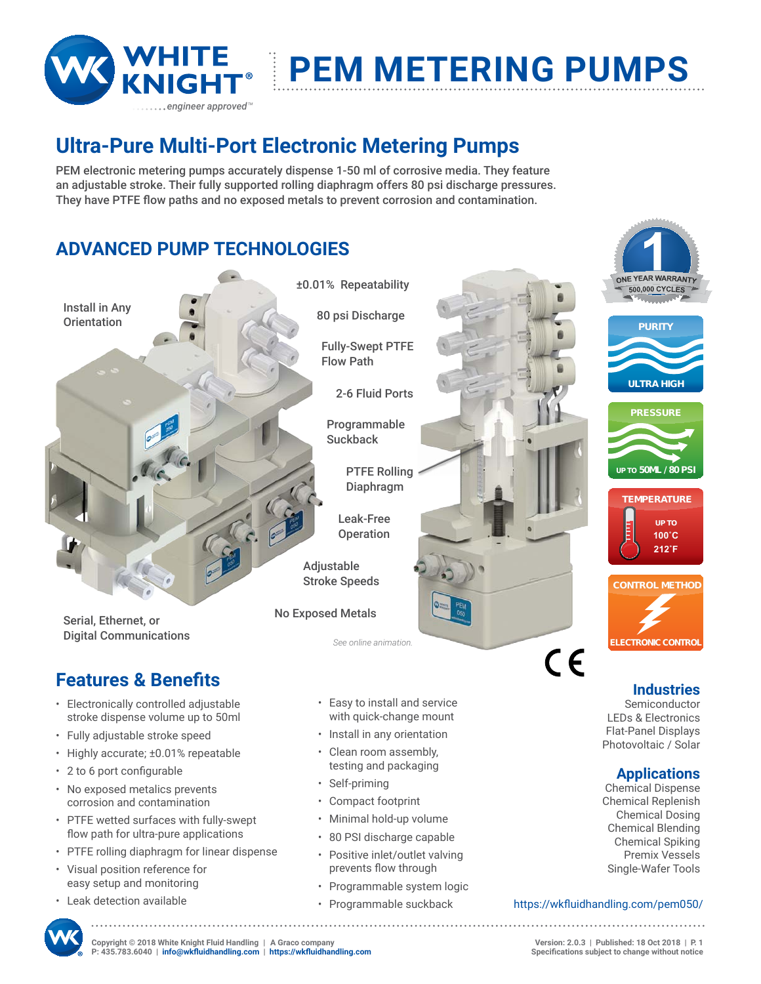

# **PEM Metering PUMPS**

## **Ultra-Pure Multi-Port Electronic Metering Pumps**

PEM electronic metering pumps accurately dispense 1-50 ml of corrosive media. They feature an adjustable stroke. Their fully supported rolling diaphragm offers 80 psi discharge pressures. They have PTFE flow paths and no exposed metals to prevent corrosion and contamination.

### **ADVANCED PUMP TECHNOLOGIES**



- • Highly accurate; ±0.01% repeatable
- • 2 to 6 port configurable
- No exposed metalics prevents corrosion and contamination
- • PTFE wetted surfaces with fully-swept flow path for ultra-pure applications
- PTFE rolling diaphragm for linear dispense
- • Visual position reference for easy setup and monitoring
- • Leak detection available
- • Clean room assembly, testing and packaging
- • Self-priming
- • Compact footprint
- • Minimal hold-up volume
- • 80 PSI discharge capable
- Positive inlet/outlet valving prevents flow through
- • Programmable system logic
- • Programmable suckback





**Applications** Chemical Dispense Chemical Replenish Chemical Dosing Chemical Blending Chemical Spiking Premix Vessels Single-Wafer Tools